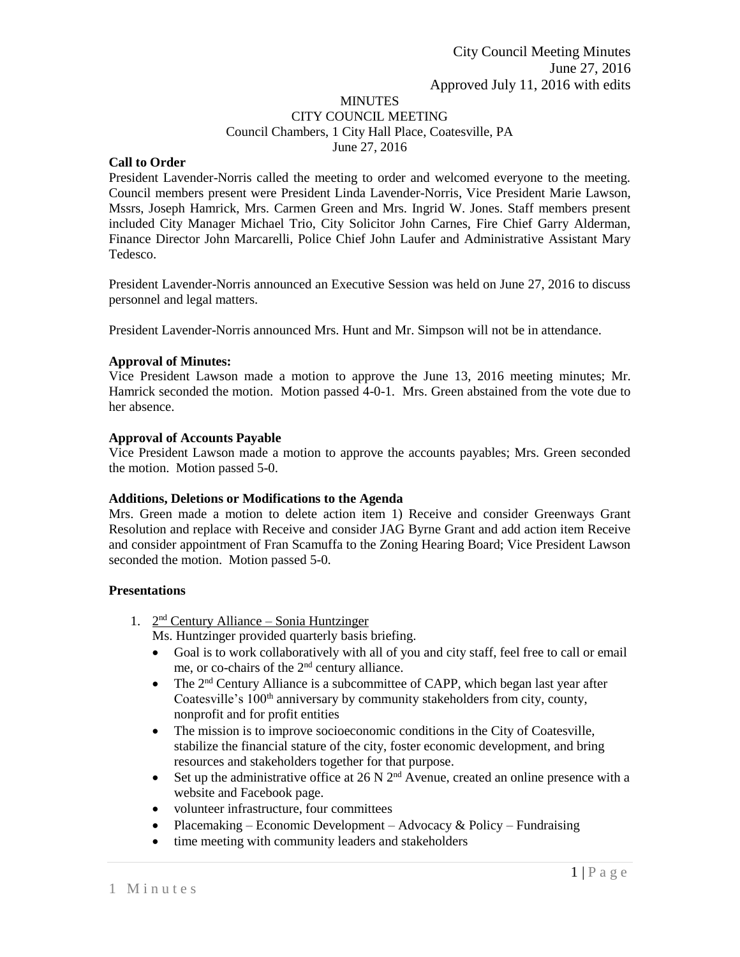#### MINUTES CITY COUNCIL MEETING Council Chambers, 1 City Hall Place, Coatesville, PA June 27, 2016

# **Call to Order**

President Lavender-Norris called the meeting to order and welcomed everyone to the meeting. Council members present were President Linda Lavender-Norris, Vice President Marie Lawson, Mssrs, Joseph Hamrick, Mrs. Carmen Green and Mrs. Ingrid W. Jones. Staff members present included City Manager Michael Trio, City Solicitor John Carnes, Fire Chief Garry Alderman, Finance Director John Marcarelli, Police Chief John Laufer and Administrative Assistant Mary Tedesco.

President Lavender-Norris announced an Executive Session was held on June 27, 2016 to discuss personnel and legal matters.

President Lavender-Norris announced Mrs. Hunt and Mr. Simpson will not be in attendance.

# **Approval of Minutes:**

Vice President Lawson made a motion to approve the June 13, 2016 meeting minutes; Mr. Hamrick seconded the motion. Motion passed 4-0-1. Mrs. Green abstained from the vote due to her absence.

#### **Approval of Accounts Payable**

Vice President Lawson made a motion to approve the accounts payables; Mrs. Green seconded the motion. Motion passed 5-0.

# **Additions, Deletions or Modifications to the Agenda**

Mrs. Green made a motion to delete action item 1) Receive and consider Greenways Grant Resolution and replace with Receive and consider JAG Byrne Grant and add action item Receive and consider appointment of Fran Scamuffa to the Zoning Hearing Board; Vice President Lawson seconded the motion. Motion passed 5-0.

# **Presentations**

- 1. 2<sup>nd</sup> Century Alliance Sonia Huntzinger
	- Ms. Huntzinger provided quarterly basis briefing.
	- Goal is to work collaboratively with all of you and city staff, feel free to call or email me, or co-chairs of the 2nd century alliance.
	- The  $2<sup>nd</sup>$  Century Alliance is a subcommittee of CAPP, which began last year after Coatesville's 100<sup>th</sup> anniversary by community stakeholders from city, county, nonprofit and for profit entities
	- The mission is to improve socioeconomic conditions in the City of Coatesville, stabilize the financial stature of the city, foster economic development, and bring resources and stakeholders together for that purpose.
	- Set up the administrative office at  $26 \text{ N } 2^{\text{nd}}$  Avenue, created an online presence with a website and Facebook page.
	- volunteer infrastructure, four committees
	- Placemaking Economic Development Advocacy & Policy Fundraising
	- time meeting with community leaders and stakeholders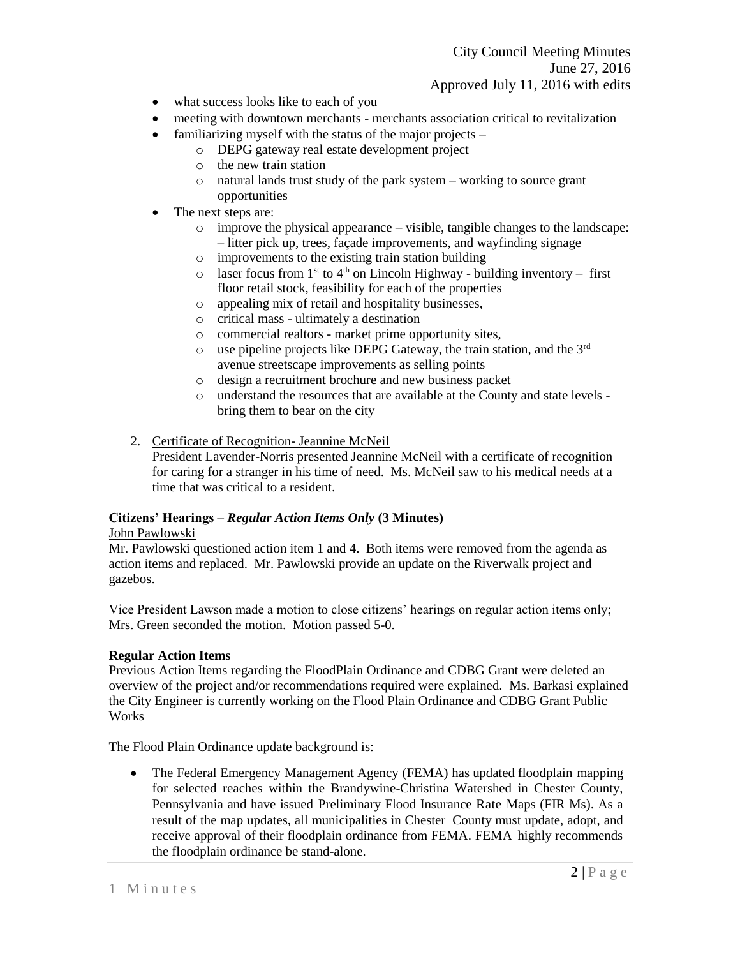City Council Meeting Minutes June 27, 2016 Approved July 11, 2016 with edits

- what success looks like to each of you
- meeting with downtown merchants merchants association critical to revitalization
- familiarizing myself with the status of the major projects  $$ 
	- o DEPG gateway real estate development project
	- o the new train station
	- o natural lands trust study of the park system working to source grant opportunities
- The next steps are:
	- o improve the physical appearance visible, tangible changes to the landscape: – litter pick up, trees, façade improvements, and wayfinding signage
	- o improvements to the existing train station building
	- $\circ$  laser focus from 1<sup>st</sup> to 4<sup>th</sup> on Lincoln Highway building inventory first floor retail stock, feasibility for each of the properties
	- o appealing mix of retail and hospitality businesses,
	- o critical mass ultimately a destination
	- o commercial realtors market prime opportunity sites,
	- $\circ$  use pipeline projects like DEPG Gateway, the train station, and the 3<sup>rd</sup> avenue streetscape improvements as selling points
	- o design a recruitment brochure and new business packet
	- o understand the resources that are available at the County and state levels bring them to bear on the city
- 2. Certificate of Recognition- Jeannine McNeil

President Lavender-Norris presented Jeannine McNeil with a certificate of recognition for caring for a stranger in his time of need. Ms. McNeil saw to his medical needs at a time that was critical to a resident.

#### **Citizens' Hearings –** *Regular Action Items Only* **(3 Minutes)**

#### John Pawlowski

Mr. Pawlowski questioned action item 1 and 4. Both items were removed from the agenda as action items and replaced. Mr. Pawlowski provide an update on the Riverwalk project and gazebos.

Vice President Lawson made a motion to close citizens' hearings on regular action items only; Mrs. Green seconded the motion. Motion passed 5-0.

#### **Regular Action Items**

Previous Action Items regarding the FloodPlain Ordinance and CDBG Grant were deleted an overview of the project and/or recommendations required were explained. Ms. Barkasi explained the City Engineer is currently working on the Flood Plain Ordinance and CDBG Grant Public **Works** 

The Flood Plain Ordinance update background is:

• The Federal Emergency Management Agency (FEMA) has updated floodplain mapping for selected reaches within the Brandywine-Christina Watershed in Chester County, Pennsylvania and have issued Preliminary Flood Insurance Rate Maps (FIR Ms). As a result of the map updates, all municipalities in Chester County must update, adopt, and receive approval of their floodplain ordinance from FEMA. FEMA highly recommends the floodplain ordinance be stand-alone.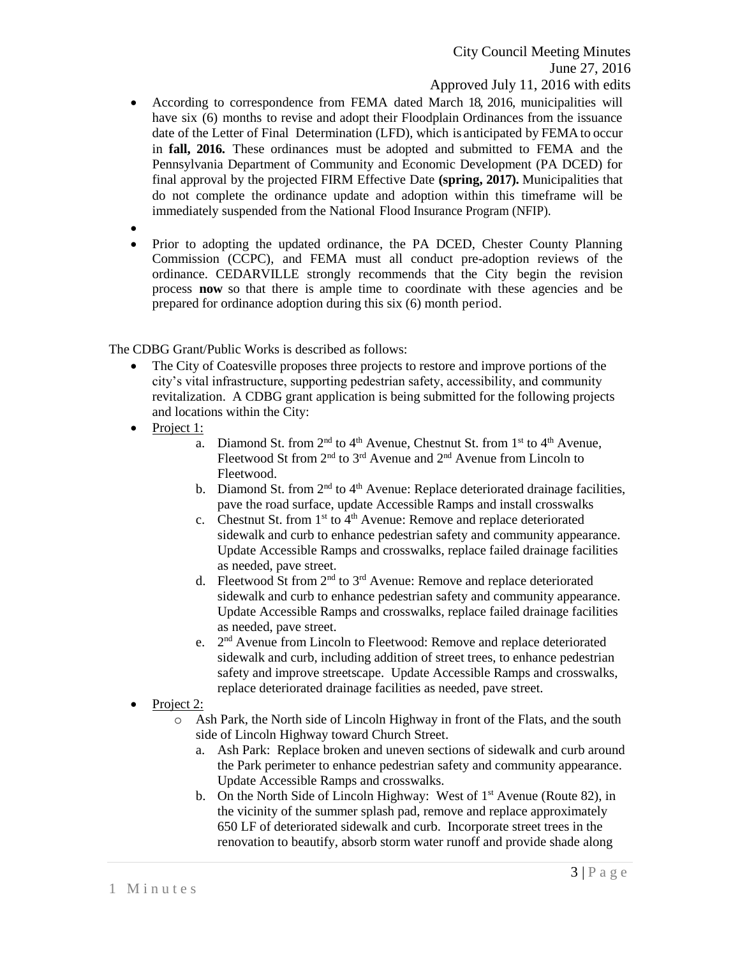- According to correspondence from FEMA dated March 18, 2016, municipalities will have six (6) months to revise and adopt their Floodplain Ordinances from the issuance date of the Letter of Final Determination (LFD), which is anticipated by FEMAto occur in **fall, 2016.** These ordinances must be adopted and submitted to FEMA and the Pennsylvania Department of Community and Economic Development (PA DCED) for final approval by the projected FIRM Effective Date **(spring, 2017).** Municipalities that do not complete the ordinance update and adoption within this timeframe will be immediately suspended from the National Flood Insurance Program (NFIP).
- $\bullet$
- Prior to adopting the updated ordinance, the PA DCED, Chester County Planning Commission (CCPC), and FEMA must all conduct pre-adoption reviews of the ordinance. CEDARVILLE strongly recommends that the City begin the revision process **now** so that there is ample time to coordinate with these agencies and be prepared for ordinance adoption during this six (6) month period.

The CDBG Grant/Public Works is described as follows:

- The City of Coatesville proposes three projects to restore and improve portions of the city's vital infrastructure, supporting pedestrian safety, accessibility, and community revitalization. A CDBG grant application is being submitted for the following projects and locations within the City:
- Project 1:
	- a. Diamond St. from  $2<sup>nd</sup>$  to  $4<sup>th</sup>$  Avenue, Chestnut St. from  $1<sup>st</sup>$  to  $4<sup>th</sup>$  Avenue, Fleetwood St from 2nd to 3rd Avenue and 2nd Avenue from Lincoln to Fleetwood.
	- b. Diamond St. from  $2<sup>nd</sup>$  to  $4<sup>th</sup>$  Avenue: Replace deteriorated drainage facilities, pave the road surface, update Accessible Ramps and install crosswalks
	- c. Chestnut St. from  $1<sup>st</sup>$  to  $4<sup>th</sup>$  Avenue: Remove and replace deteriorated sidewalk and curb to enhance pedestrian safety and community appearance. Update Accessible Ramps and crosswalks, replace failed drainage facilities as needed, pave street.
	- d. Fleetwood St from  $2<sup>nd</sup>$  to  $3<sup>rd</sup>$  Avenue: Remove and replace deteriorated sidewalk and curb to enhance pedestrian safety and community appearance. Update Accessible Ramps and crosswalks, replace failed drainage facilities as needed, pave street.
	- e. 2<sup>nd</sup> Avenue from Lincoln to Fleetwood: Remove and replace deteriorated sidewalk and curb, including addition of street trees, to enhance pedestrian safety and improve streetscape. Update Accessible Ramps and crosswalks, replace deteriorated drainage facilities as needed, pave street.
- Project 2:
	- o Ash Park, the North side of Lincoln Highway in front of the Flats, and the south side of Lincoln Highway toward Church Street.
		- a. Ash Park: Replace broken and uneven sections of sidewalk and curb around the Park perimeter to enhance pedestrian safety and community appearance. Update Accessible Ramps and crosswalks.
		- b. On the North Side of Lincoln Highway: West of  $1<sup>st</sup>$  Avenue (Route 82), in the vicinity of the summer splash pad, remove and replace approximately 650 LF of deteriorated sidewalk and curb. Incorporate street trees in the renovation to beautify, absorb storm water runoff and provide shade along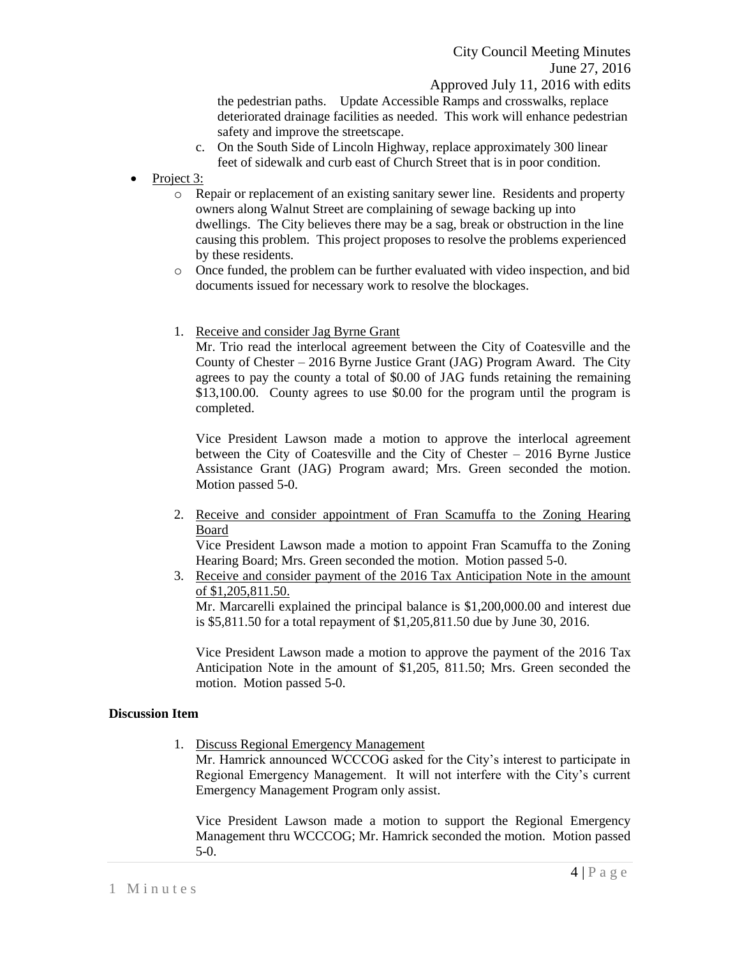the pedestrian paths. Update Accessible Ramps and crosswalks, replace deteriorated drainage facilities as needed. This work will enhance pedestrian safety and improve the streetscape.

- c. On the South Side of Lincoln Highway, replace approximately 300 linear feet of sidewalk and curb east of Church Street that is in poor condition.
- Project 3:
	- o Repair or replacement of an existing sanitary sewer line. Residents and property owners along Walnut Street are complaining of sewage backing up into dwellings. The City believes there may be a sag, break or obstruction in the line causing this problem. This project proposes to resolve the problems experienced by these residents.
	- o Once funded, the problem can be further evaluated with video inspection, and bid documents issued for necessary work to resolve the blockages.
	- 1. Receive and consider Jag Byrne Grant

Mr. Trio read the interlocal agreement between the City of Coatesville and the County of Chester – 2016 Byrne Justice Grant (JAG) Program Award. The City agrees to pay the county a total of \$0.00 of JAG funds retaining the remaining \$13,100.00. County agrees to use \$0.00 for the program until the program is completed.

Vice President Lawson made a motion to approve the interlocal agreement between the City of Coatesville and the City of Chester – 2016 Byrne Justice Assistance Grant (JAG) Program award; Mrs. Green seconded the motion. Motion passed 5-0.

2. Receive and consider appointment of Fran Scamuffa to the Zoning Hearing Board

Vice President Lawson made a motion to appoint Fran Scamuffa to the Zoning Hearing Board; Mrs. Green seconded the motion. Motion passed 5-0.

3. Receive and consider payment of the 2016 Tax Anticipation Note in the amount of \$1,205,811.50.

Mr. Marcarelli explained the principal balance is \$1,200,000.00 and interest due is \$5,811.50 for a total repayment of \$1,205,811.50 due by June 30, 2016.

Vice President Lawson made a motion to approve the payment of the 2016 Tax Anticipation Note in the amount of \$1,205, 811.50; Mrs. Green seconded the motion. Motion passed 5-0.

# **Discussion Item**

1. Discuss Regional Emergency Management

Mr. Hamrick announced WCCCOG asked for the City's interest to participate in Regional Emergency Management. It will not interfere with the City's current Emergency Management Program only assist.

Vice President Lawson made a motion to support the Regional Emergency Management thru WCCCOG; Mr. Hamrick seconded the motion. Motion passed 5-0.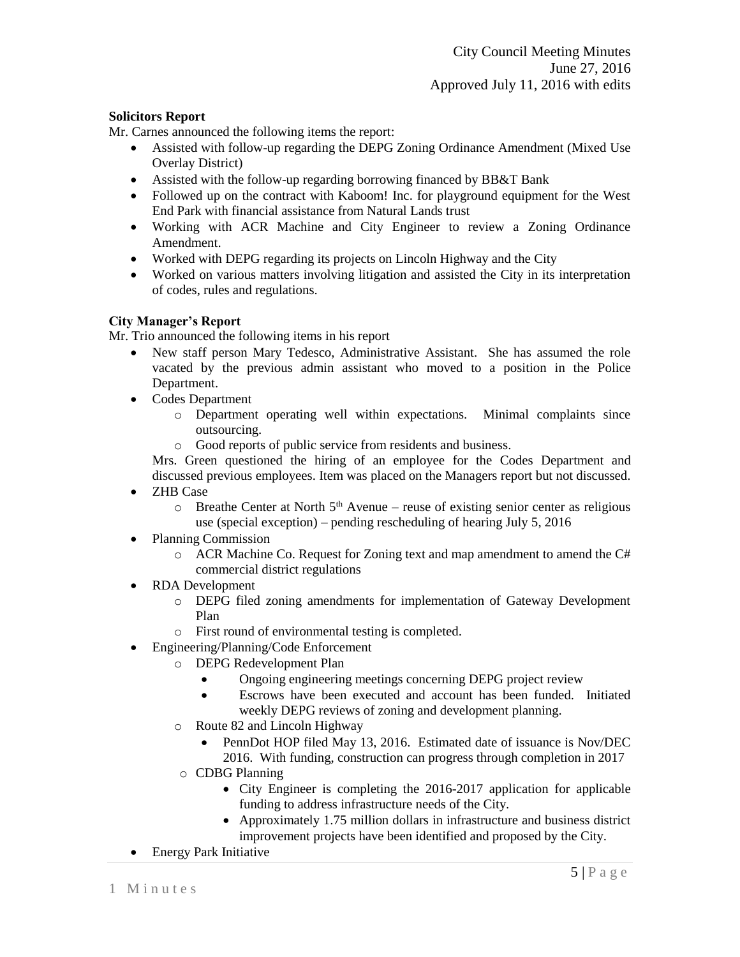# **Solicitors Report**

Mr. Carnes announced the following items the report:

- Assisted with follow-up regarding the DEPG Zoning Ordinance Amendment (Mixed Use Overlay District)
- Assisted with the follow-up regarding borrowing financed by BB&T Bank
- Followed up on the contract with Kaboom! Inc. for playground equipment for the West End Park with financial assistance from Natural Lands trust
- Working with ACR Machine and City Engineer to review a Zoning Ordinance Amendment.
- Worked with DEPG regarding its projects on Lincoln Highway and the City
- Worked on various matters involving litigation and assisted the City in its interpretation of codes, rules and regulations.

# **City Manager's Report**

Mr. Trio announced the following items in his report

- New staff person Mary Tedesco, Administrative Assistant. She has assumed the role vacated by the previous admin assistant who moved to a position in the Police Department.
- Codes Department
	- o Department operating well within expectations. Minimal complaints since outsourcing.
	- o Good reports of public service from residents and business.

Mrs. Green questioned the hiring of an employee for the Codes Department and discussed previous employees. Item was placed on the Managers report but not discussed.

- ZHB Case
	- $\circ$  Breathe Center at North 5<sup>th</sup> Avenue reuse of existing senior center as religious use (special exception) – pending rescheduling of hearing July 5, 2016
- Planning Commission
	- $\circ$  ACR Machine Co. Request for Zoning text and map amendment to amend the C# commercial district regulations
- RDA Development
	- o DEPG filed zoning amendments for implementation of Gateway Development Plan
	- o First round of environmental testing is completed.
- Engineering/Planning/Code Enforcement
	- o DEPG Redevelopment Plan
		- Ongoing engineering meetings concerning DEPG project review
		- Escrows have been executed and account has been funded. Initiated weekly DEPG reviews of zoning and development planning.
	- o Route 82 and Lincoln Highway
		- PennDot HOP filed May 13, 2016. Estimated date of issuance is Nov/DEC 2016. With funding, construction can progress through completion in 2017
		- o CDBG Planning
			- City Engineer is completing the 2016-2017 application for applicable funding to address infrastructure needs of the City.
			- Approximately 1.75 million dollars in infrastructure and business district improvement projects have been identified and proposed by the City.
- Energy Park Initiative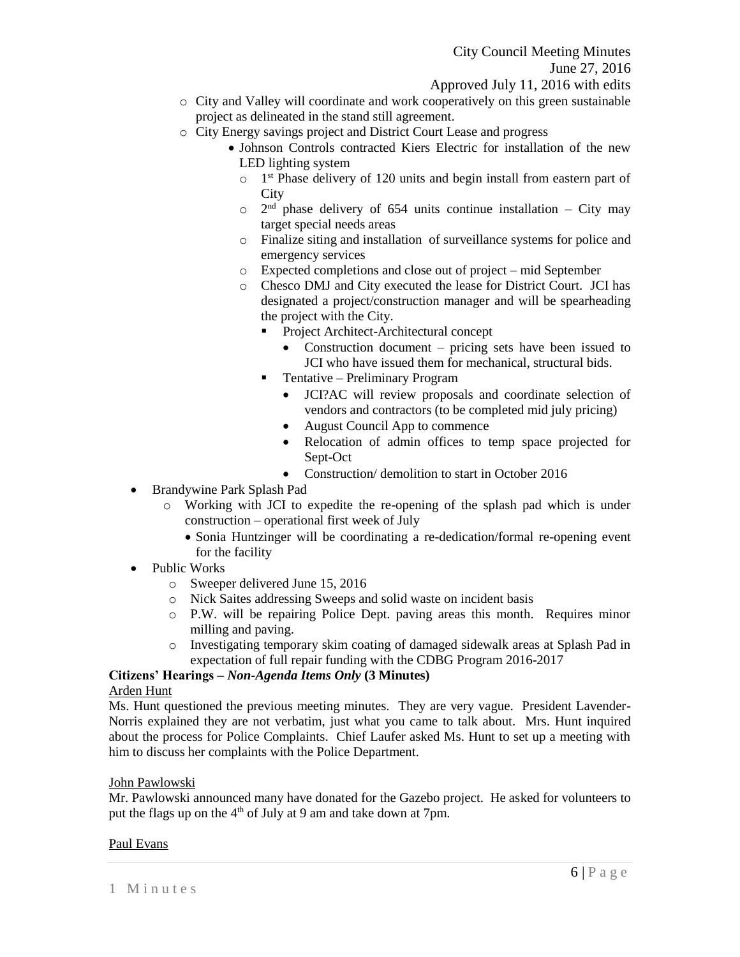- o City and Valley will coordinate and work cooperatively on this green sustainable project as delineated in the stand still agreement.
- 
- o City Energy savings project and District Court Lease and progress • Johnson Controls contracted Kiers Electric for installation of the new
	- LED lighting system
		- o 1<sup>st</sup> Phase delivery of 120 units and begin install from eastern part of **City**
		- $\circ$  2<sup>nd</sup> phase delivery of 654 units continue installation City may target special needs areas
		- o Finalize siting and installation of surveillance systems for police and emergency services
	- o Expected completions and close out of project mid September
	- o Chesco DMJ and City executed the lease for District Court. JCI has designated a project/construction manager and will be spearheading the project with the City.
		- Project Architect-Architectural concept
			- Construction document pricing sets have been issued to JCI who have issued them for mechanical, structural bids.
		- **Tentative Preliminary Program** 
			- JCI?AC will review proposals and coordinate selection of vendors and contractors (to be completed mid july pricing)
			- August Council App to commence
			- Relocation of admin offices to temp space projected for Sept-Oct
			- Construction/ demolition to start in October 2016
- Brandywine Park Splash Pad
	- o Working with JCI to expedite the re-opening of the splash pad which is under construction – operational first week of July
		- Sonia Huntzinger will be coordinating a re-dedication/formal re-opening event for the facility
- Public Works
	- o Sweeper delivered June 15, 2016
	- o Nick Saites addressing Sweeps and solid waste on incident basis
	- o P.W. will be repairing Police Dept. paving areas this month. Requires minor milling and paving.
	- o Investigating temporary skim coating of damaged sidewalk areas at Splash Pad in expectation of full repair funding with the CDBG Program 2016-2017

# **Citizens' Hearings –** *Non-Agenda Items Only* **(3 Minutes)**

# Arden Hunt

Ms. Hunt questioned the previous meeting minutes. They are very vague. President Lavender-Norris explained they are not verbatim, just what you came to talk about. Mrs. Hunt inquired about the process for Police Complaints. Chief Laufer asked Ms. Hunt to set up a meeting with him to discuss her complaints with the Police Department.

# John Pawlowski

Mr. Pawlowski announced many have donated for the Gazebo project. He asked for volunteers to put the flags up on the 4<sup>th</sup> of July at 9 am and take down at 7pm.

# Paul Evans